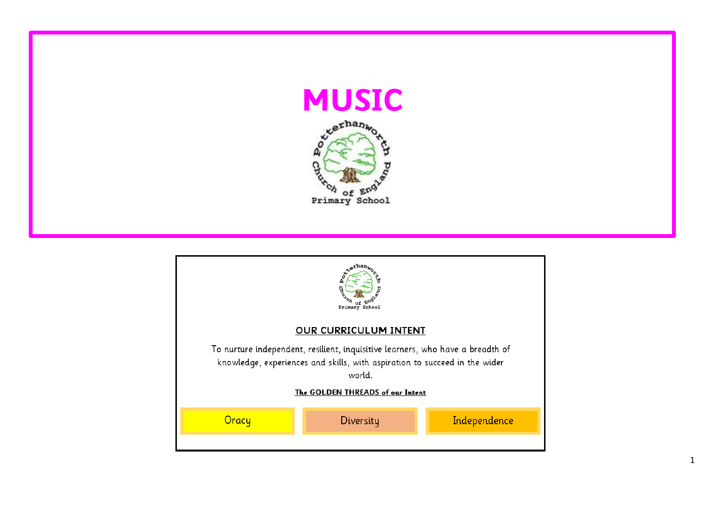

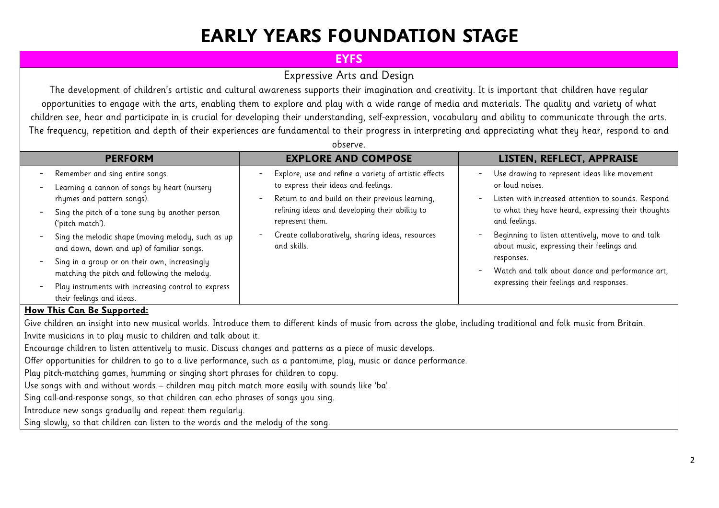# **EARLY YEARS FOUNDATION STAGE**

### **EYFS**

### Expressive Arts and Design

The development of children's artistic and cultural awareness supports their imagination and creativity. It is important that children have regular opportunities to engage with the arts, enabling them to explore and play with a wide range of media and materials. The quality and variety of what children see, hear and participate in is crucial for developing their understanding, self-expression, vocabulary and ability to communicate through the arts. The frequency, repetition and depth of their experiences are fundamental to their progress in interpreting and appreciating what they hear, respond to and

| <b>PERFORM</b>                                                                                 | <b>EXPLORE AND COMPOSE</b>                                      | LISTEN, REFLECT, APPRAISE                                                                       |
|------------------------------------------------------------------------------------------------|-----------------------------------------------------------------|-------------------------------------------------------------------------------------------------|
| Remember and sing entire songs.                                                                | Explore, use and refine a variety of artistic effects           | Use drawing to represent ideas like movement<br>$\overline{\phantom{a}}$                        |
| Learning a cannon of songs by heart (nursery                                                   | to express their ideas and feelings.                            | or loud noises.                                                                                 |
| rhymes and pattern songs).                                                                     | Return to and build on their previous learning,                 | Listen with increased attention to sounds. Respond<br>$\overline{\phantom{a}}$                  |
| Sing the pitch of a tone sung by another person                                                | refining ideas and developing their ability to                  | to what they have heard, expressing their thoughts                                              |
| ('pitch match').                                                                               | represent them.                                                 | and feelings.                                                                                   |
| Sing the melodic shape (moving melody, such as up<br>and down, down and up) of familiar songs. | Create collaboratively, sharing ideas, resources<br>and skills. | Beginning to listen attentively, move to and talk<br>about music, expressing their feelings and |
| Sing in a group or on their own, increasingly                                                  |                                                                 | responses.                                                                                      |
| matching the pitch and following the melody.                                                   |                                                                 | Watch and talk about dance and performance art,                                                 |
| Play instruments with increasing control to express                                            |                                                                 | expressing their feelings and responses.                                                        |
| their feelings and ideas.                                                                      |                                                                 |                                                                                                 |

#### **How This Can Be Supported:**

Give children an insight into new musical worlds. Introduce them to different kinds of music from across the globe, including traditional and folk music from Britain. Invite musicians in to play music to children and talk about it.

Encourage children to listen attentively to music. Discuss changes and patterns as a piece of music develops.

Offer opportunities for children to go to a live performance, such as a pantomime, play, music or dance performance.

Play pitch-matching games, humming or singing short phrases for children to copy.

Use songs with and without words – children may pitch match more easily with sounds like 'ba'.

Sing call-and-response songs, so that children can echo phrases of songs you sing.

Introduce new songs gradually and repeat them regularly.

Sing slowly, so that children can listen to the words and the melody of the song.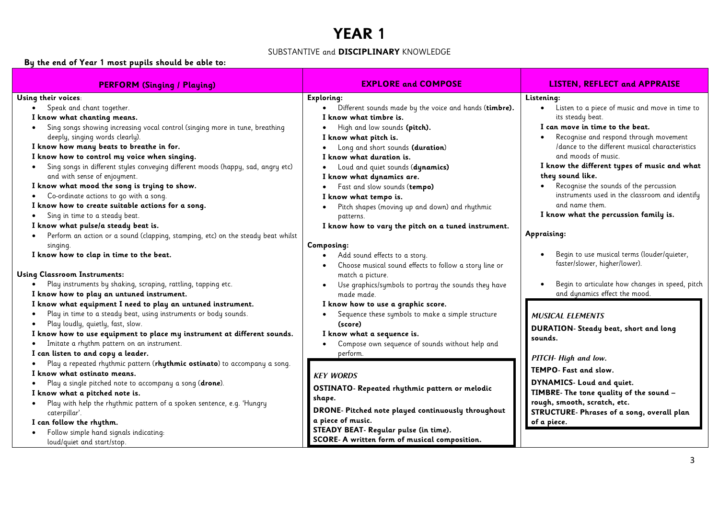#### SUBSTANTIVE and **DISCIPLINARY** KNOWLEDGE

#### **By the end of Year 1 most pupils should be able to:**

| <b>PERFORM (Singing / Playing)</b>                                               | <b>EXPLORE and COMPOSE</b>                                          | <b>LISTEN, REFLECT and APPRAISE</b>                         |
|----------------------------------------------------------------------------------|---------------------------------------------------------------------|-------------------------------------------------------------|
| Using their voices:                                                              | Exploring:                                                          | Listening:                                                  |
| Speak and chant together.                                                        | Different sounds made by the voice and hands (timbre).<br>$\bullet$ | Listen to a piece of music and move in time to<br>$\bullet$ |
| I know what chanting means.                                                      | I know what timbre is.                                              | its steady beat.                                            |
| Sing songs showing increasing vocal control (singing more in tune, breathing     | High and low sounds (pitch).                                        | I can move in time to the beat.                             |
| deeply, singing words clearly).                                                  | I know what pitch is.                                               | Recognise and respond through movement                      |
| I know how many beats to breathe in for.                                         | Long and short sounds (duration)                                    | /dance to the different musical characteristics             |
| I know how to control my voice when singing.                                     | I know what duration is.                                            | and moods of music.                                         |
| Sing songs in different styles conveying different moods (happy, sad, angry etc) | Loud and quiet sounds (dynamics)                                    | I know the different types of music and what                |
| and with sense of enjoyment.                                                     | I know what dynamics are.                                           | they sound like.                                            |
| I know what mood the song is trying to show.                                     | Fast and slow sounds (tempo)                                        | Recognise the sounds of the percussion                      |
| Co-ordinate actions to go with a song.                                           | I know what tempo is.                                               | instruments used in the classroom and identify              |
| I know how to create suitable actions for a song.                                | Pitch shapes (moving up and down) and rhythmic                      | and name them.                                              |
| Sing in time to a steady beat.                                                   | patterns.                                                           | I know what the percussion family is.                       |
| I know what pulse/a steady beat is.                                              | I know how to vary the pitch on a tuned instrument.                 |                                                             |
| Perform an action or a sound (clapping, stamping, etc) on the steady beat whilst |                                                                     | Appraising:                                                 |
| singing.                                                                         | Composing:                                                          |                                                             |
| I know how to clap in time to the beat.                                          | Add sound effects to a story.                                       | Begin to use musical terms (louder/quieter,                 |
|                                                                                  | Choose musical sound effects to follow a story line or              | faster/slower, higher/lower).                               |
| <b>Using Classroom Instruments:</b>                                              | match a picture.                                                    |                                                             |
| Play instruments by shaking, scraping, rattling, tapping etc.                    | Use graphics/symbols to portray the sounds they have                | Begin to articulate how changes in speed, pitch             |
| I know how to play an untuned instrument.                                        | made made.                                                          | and dynamics effect the mood.                               |
| I know what equipment I need to play an untuned instrument.                      | I know how to use a graphic score.                                  |                                                             |
| Play in time to a steady beat, using instruments or body sounds.                 | Sequence these symbols to make a simple structure                   | <b>MUSICAL ELEMENTS</b>                                     |
| Play loudly, quietly, fast, slow.                                                | (score)                                                             | <b>DURATION- Steady beat, short and long</b>                |
| I know how to use equipment to place my instrument at different sounds.          | I know what a sequence is.                                          | sounds.                                                     |
| Imitate a rhythm pattern on an instrument.                                       | Compose own sequence of sounds without help and                     |                                                             |
| I can listen to and copy a leader.                                               | perform.                                                            | PITCH- High and low.                                        |
| Play a repeated rhythmic pattern (rhythmic ostinato) to accompany a song.        |                                                                     | TEMPO- Fast and slow.                                       |
| I know what ostinato means.                                                      | <b>KEY WORDS</b>                                                    |                                                             |
| Play a single pitched note to accompany a song (drone).                          | OSTINATO- Repeated rhythmic pattern or melodic                      | DYNAMICS- Loud and quiet.                                   |
| I know what a pitched note is.                                                   | shape.                                                              | TIMBRE- The tone quality of the sound -                     |
| Play with help the rhythmic pattern of a spoken sentence, e.g. 'Hungry           | DRONE- Pitched note played continuously throughout                  | rough, smooth, scratch, etc.                                |
| caterpillar'.                                                                    | a piece of music.                                                   | STRUCTURE- Phrases of a song, overall plan                  |
| I can follow the rhythm.                                                         | STEADY BEAT- Regular pulse (in time).                               | of a piece.                                                 |
| Follow simple hand signals indicating:<br>loud/quiet and start/stop.             | SCORE- A written form of musical composition.                       |                                                             |
|                                                                                  |                                                                     |                                                             |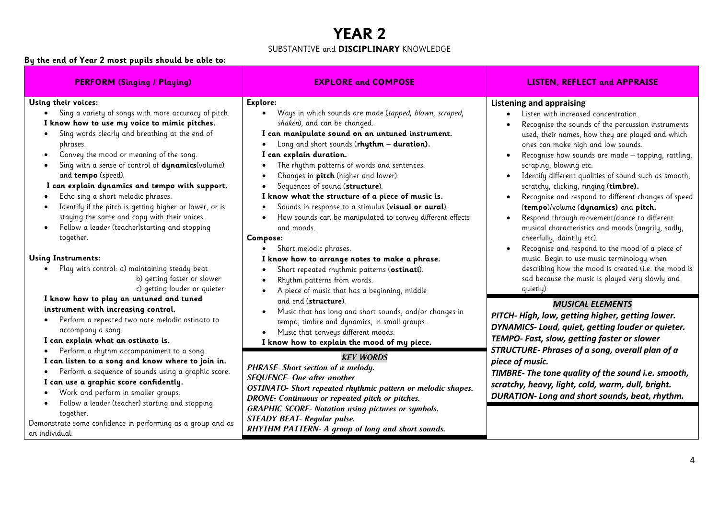#### SUBSTANTIVE and **DISCIPLINARY** KNOWLEDGE

#### **By the end of Year 2 most pupils should be able to:**

| <b>PERFORM (Singing / Playing)</b>                                                                                                                                                                                                                                                                                                                                                                                                                                                                                                                                                | <b>EXPLORE and COMPOSE</b>                                                                                                                                                                                                                                                                                                                                                                                                                                                                                                                                                                                       | <b>LISTEN, REFLECT and APPRAISE</b>                                                                                                                                                                                                                                                                                                                                                                                                                                                                                                                                                                                                                                                            |  |
|-----------------------------------------------------------------------------------------------------------------------------------------------------------------------------------------------------------------------------------------------------------------------------------------------------------------------------------------------------------------------------------------------------------------------------------------------------------------------------------------------------------------------------------------------------------------------------------|------------------------------------------------------------------------------------------------------------------------------------------------------------------------------------------------------------------------------------------------------------------------------------------------------------------------------------------------------------------------------------------------------------------------------------------------------------------------------------------------------------------------------------------------------------------------------------------------------------------|------------------------------------------------------------------------------------------------------------------------------------------------------------------------------------------------------------------------------------------------------------------------------------------------------------------------------------------------------------------------------------------------------------------------------------------------------------------------------------------------------------------------------------------------------------------------------------------------------------------------------------------------------------------------------------------------|--|
| Using their voices:<br>Sing a variety of songs with more accuracy of pitch.<br>I know how to use my voice to mimic pitches.<br>Sing words clearly and breathing at the end of<br>phrases.<br>Convey the mood or meaning of the song.<br>Sing with a sense of control of dynamics (volume)<br>and tempo (speed).<br>I can explain dynamics and tempo with support.<br>Echo sing a short melodic phrases.<br>Identify if the pitch is getting higher or lower, or is<br>staying the same and copy with their voices.<br>Follow a leader (teacher)starting and stopping<br>together. | Explore:<br>Ways in which sounds are made (tapped, blown, scraped,<br>$\bullet$<br>shaken), and can be changed.<br>I can manipulate sound on an untuned instrument.<br>Long and short sounds (rhythm - duration).<br>I can explain duration.<br>The rhythm patterns of words and sentences.<br>$\bullet$<br>Changes in pitch (higher and lower).<br>Sequences of sound (structure).<br>I know what the structure of a piece of music is.<br>Sounds in response to a stimulus (visual or aural).<br>How sounds can be manipulated to convey different effects<br>and moods.<br>Compose:<br>Short melodic phrases. | <b>Listening and appraising</b><br>Listen with increased concentration.<br>Recognise the sounds of the percussion instruments<br>used, their names, how they are played and which<br>ones can make high and low sounds.<br>Recognise how sounds are made - tapping, rattling,<br>scraping, blowing etc.<br>Identify different qualities of sound such as smooth,<br>scratchy, clicking, ringing (timbre).<br>Recognise and respond to different changes of speed<br>(tempo)/volume (dynamics) and pitch.<br>Respond through movement/dance to different<br>musical characteristics and moods (angrily, sadly,<br>cheerfully, daintily etc).<br>Recognise and respond to the mood of a piece of |  |
| <b>Using Instruments:</b><br>Play with control: a) maintaining steady beat<br>b) getting faster or slower<br>c) getting louder or quieter                                                                                                                                                                                                                                                                                                                                                                                                                                         | I know how to arrange notes to make a phrase.<br>Short repeated rhythmic patterns (ostinati).<br>Rhythm patterns from words.<br>A piece of music that has a beginning, middle                                                                                                                                                                                                                                                                                                                                                                                                                                    | music. Begin to use music terminology when<br>describing how the mood is created (i.e. the mood is<br>sad because the music is played very slowly and<br>quietly).                                                                                                                                                                                                                                                                                                                                                                                                                                                                                                                             |  |
| I know how to play an untuned and tuned<br>instrument with increasing control.<br>Perform a repeated two note melodic ostinato to<br>accompany a song.<br>I can explain what an ostinato is.                                                                                                                                                                                                                                                                                                                                                                                      | and end (structure).<br>Music that has long and short sounds, and/or changes in<br>tempo, timbre and dynamics, in small groups.<br>Music that conveys different moods.<br>I know how to explain the mood of my piece.                                                                                                                                                                                                                                                                                                                                                                                            | <b>MUSICAL ELEMENTS</b><br>PITCH-High, low, getting higher, getting lower.<br>DYNAMICS- Loud, quiet, getting louder or quieter.<br>TEMPO- Fast, slow, getting faster or slower                                                                                                                                                                                                                                                                                                                                                                                                                                                                                                                 |  |
| Perform a rhythm accompaniment to a song.<br>I can listen to a song and know where to join in.<br>Perform a sequence of sounds using a graphic score.<br>I can use a graphic score confidently.<br>Work and perform in smaller groups.                                                                                                                                                                                                                                                                                                                                            | <b>KEY WORDS</b><br>PHRASE- Short section of a melody.<br><b>SEQUENCE- One after another</b><br>OSTINATO- Short repeated rhythmic pattern or melodic shapes.<br>DRONE- Continuous or repeated pitch or pitches.                                                                                                                                                                                                                                                                                                                                                                                                  | STRUCTURE- Phrases of a song, overall plan of a<br>piece of music.<br>TIMBRE- The tone quality of the sound i.e. smooth,<br>scratchy, heavy, light, cold, warm, dull, bright.<br><b>DURATION-Long and short sounds, beat, rhythm.</b>                                                                                                                                                                                                                                                                                                                                                                                                                                                          |  |
| Follow a leader (teacher) starting and stopping<br>together.<br>Demonstrate some confidence in performing as a group and as<br>an individual.                                                                                                                                                                                                                                                                                                                                                                                                                                     | <b>GRAPHIC SCORE- Notation using pictures or symbols.</b><br><b>STEADY BEAT- Regular pulse.</b><br>RHYTHM PATTERN- A group of long and short sounds.                                                                                                                                                                                                                                                                                                                                                                                                                                                             |                                                                                                                                                                                                                                                                                                                                                                                                                                                                                                                                                                                                                                                                                                |  |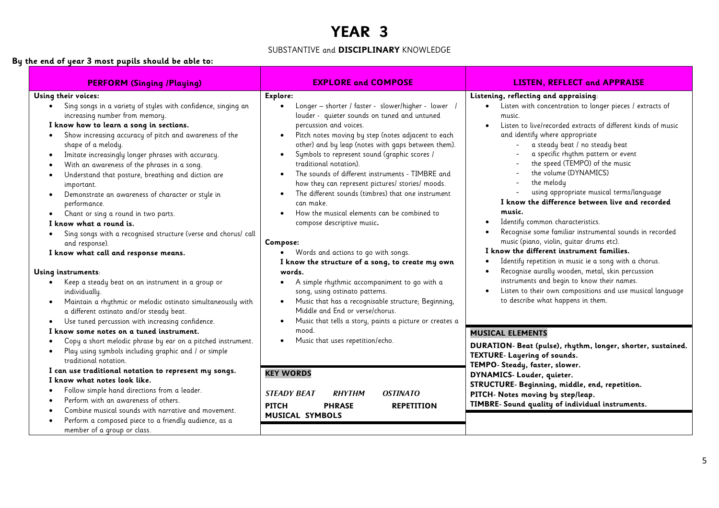#### SUBSTANTIVE and **DISCIPLINARY** KNOWLEDGE

#### **By the end of year 3 most pupils should be able to:**

| <b>PERFORM (Singing /Playing)</b>                                                                                                                                                                                                                                                                                                                                                                                                                                                                                                                                                                                                                                                                                                                                                                                                                                                                                                                                                                                                                                                          | <b>EXPLORE and COMPOSE</b>                                                                                                                                                                                                                                                                                                                                                                                                                                                                                                                                                                                                                                                                                                                                                                                                                                                                                                                                                             | <b>LISTEN, REFLECT and APPRAISE</b>                                                                                                                                                                                                                                                                                                                                                                                                                                                                                                                                                                                                                                                                                                                                                                                                                                                                                                       |
|--------------------------------------------------------------------------------------------------------------------------------------------------------------------------------------------------------------------------------------------------------------------------------------------------------------------------------------------------------------------------------------------------------------------------------------------------------------------------------------------------------------------------------------------------------------------------------------------------------------------------------------------------------------------------------------------------------------------------------------------------------------------------------------------------------------------------------------------------------------------------------------------------------------------------------------------------------------------------------------------------------------------------------------------------------------------------------------------|----------------------------------------------------------------------------------------------------------------------------------------------------------------------------------------------------------------------------------------------------------------------------------------------------------------------------------------------------------------------------------------------------------------------------------------------------------------------------------------------------------------------------------------------------------------------------------------------------------------------------------------------------------------------------------------------------------------------------------------------------------------------------------------------------------------------------------------------------------------------------------------------------------------------------------------------------------------------------------------|-------------------------------------------------------------------------------------------------------------------------------------------------------------------------------------------------------------------------------------------------------------------------------------------------------------------------------------------------------------------------------------------------------------------------------------------------------------------------------------------------------------------------------------------------------------------------------------------------------------------------------------------------------------------------------------------------------------------------------------------------------------------------------------------------------------------------------------------------------------------------------------------------------------------------------------------|
| Using their voices:<br>Sing songs in a variety of styles with confidence, singing an<br>$\bullet$<br>increasing number from memory.<br>I know how to learn a song in sections.<br>Show increasing accuracy of pitch and awareness of the<br>$\bullet$<br>shape of a melody.<br>Imitate increasingly longer phrases with accuracy.<br>$\bullet$<br>With an awareness of the phrases in a song.<br>$\bullet$<br>Understand that posture, breathing and diction are<br>$\bullet$<br>important.<br>Demonstrate an awareness of character or style in<br>$\bullet$<br>performance.<br>Chant or sing a round in two parts.<br>$\bullet$<br>I know what a round is.<br>Sing songs with a recognised structure (verse and chorus/ call<br>$\bullet$<br>and response).<br>I know what call and response means.<br>Using instruments:<br>Keep a steady beat on an instrument in a group or<br>$\bullet$<br>individually.<br>Maintain a rhythmic or melodic ostinato simultaneously with<br>$\bullet$<br>a different ostinato and/or steady beat.<br>Use tuned percussion with increasing confidence. | Explore:<br>Longer - shorter / faster - slower/higher - lower /<br>louder - quieter sounds on tuned and untuned<br>percussion and voices.<br>Pitch notes moving by step (notes adjacent to each<br>other) and by leap (notes with gaps between them).<br>Symbols to represent sound (graphic scores /<br>$\bullet$<br>traditional notation).<br>The sounds of different instruments - TIMBRE and<br>how they can represent pictures/ stories/ moods.<br>The different sounds (timbres) that one instrument<br>can make.<br>How the musical elements can be combined to<br>compose descriptive music.<br>Compose:<br>Words and actions to go with songs.<br>$\bullet$<br>I know the structure of a song, to create my own<br>words.<br>A simple rhythmic accompaniment to go with a<br>$\bullet$<br>song, using ostinato patterns.<br>Music that has a recognisable structure; Beginning,<br>Middle and End or verse/chorus.<br>Music that tells a story, paints a picture or creates a | Listening, reflecting and appraising:<br>Listen with concentration to longer pieces / extracts of<br>$\bullet$<br>music.<br>Listen to live/recorded extracts of different kinds of music<br>and identify where appropriate<br>a steady beat / no steady beat<br>a specific rhythm pattern or event<br>the speed (TEMPO) of the music<br>the volume (DYNAMICS)<br>the melody<br>using appropriate musical terms/language<br>I know the difference between live and recorded<br>music.<br>Identify common characteristics.<br>Recognise some familiar instrumental sounds in recorded<br>music (piano, violin, guitar drums etc).<br>I know the different instrument families.<br>Identify repetition in music ie a song with a chorus.<br>Recognise aurally wooden, metal, skin percussion<br>instruments and begin to know their names.<br>Listen to their own compositions and use musical language<br>to describe what happens in them. |
| $\bullet$<br>I know some notes on a tuned instrument.<br>Copy a short melodic phrase by ear on a pitched instrument.<br>$\bullet$<br>Play using symbols including graphic and / or simple<br>$\bullet$<br>traditional notation.                                                                                                                                                                                                                                                                                                                                                                                                                                                                                                                                                                                                                                                                                                                                                                                                                                                            | mood.<br>Music that uses repetition/echo.<br>$\bullet$                                                                                                                                                                                                                                                                                                                                                                                                                                                                                                                                                                                                                                                                                                                                                                                                                                                                                                                                 | <b>MUSICAL ELEMENTS</b><br>DURATION- Beat (pulse), rhythm, longer, shorter, sustained.<br>TEXTURE- Layering of sounds.<br>TEMPO- Steady, faster, slower.                                                                                                                                                                                                                                                                                                                                                                                                                                                                                                                                                                                                                                                                                                                                                                                  |
| I can use traditional notation to represent my songs.<br>I know what notes look like.<br>Follow simple hand directions from a leader.<br>$\bullet$<br>Perform with an awareness of others.<br>Combine musical sounds with narrative and movement.<br>Perform a composed piece to a friendly audience, as a<br>member of a group or class.                                                                                                                                                                                                                                                                                                                                                                                                                                                                                                                                                                                                                                                                                                                                                  | <b>KEY WORDS</b><br><b>RHYTHM</b><br><b>OSTINATO</b><br><b>STEADY BEAT</b><br><b>PITCH</b><br><b>PHRASE</b><br><b>REPETITION</b><br><b>MUSICAL SYMBOLS</b>                                                                                                                                                                                                                                                                                                                                                                                                                                                                                                                                                                                                                                                                                                                                                                                                                             | DYNAMICS- Louder, quieter.<br>STRUCTURE- Beginning, middle, end, repetition.<br>PITCH- Notes moving by step/leap.<br>TIMBRE- Sound quality of individual instruments.                                                                                                                                                                                                                                                                                                                                                                                                                                                                                                                                                                                                                                                                                                                                                                     |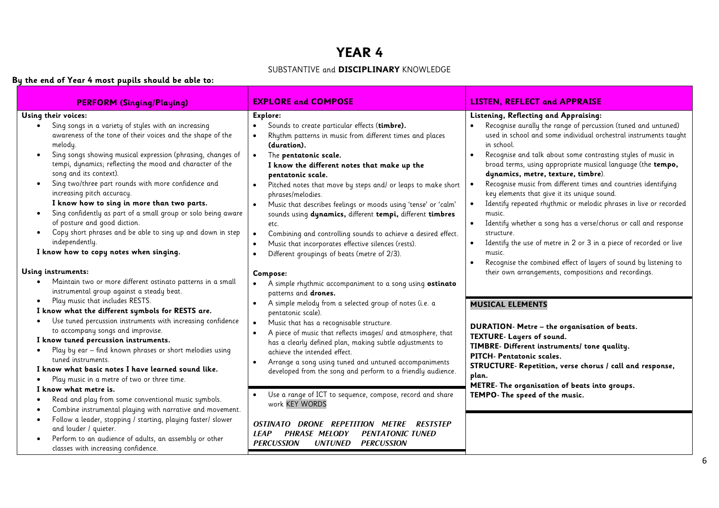#### SUBSTANTIVE and **DISCIPLINARY** KNOWLEDGE

### **By the end of Year 4 most pupils should be able to:**

| <b>PERFORM (Singing/Playing)</b>                                                                                                                                                                                                                                                                                                                                                                                                                                                                                                                                                                                                                                                                                                                                                                                               | <b>EXPLORE and COMPOSE</b>                                                                                                                                                                                                                                                                                                                                                                                                                                                                                                                                                                                                                                                                            | <b>LISTEN, REFLECT and APPRAISE</b>                                                                                                                                                                                                                                                                                                                                                                                                                                                                                                                                                                                                                                                                                                                                                                                                                                     |
|--------------------------------------------------------------------------------------------------------------------------------------------------------------------------------------------------------------------------------------------------------------------------------------------------------------------------------------------------------------------------------------------------------------------------------------------------------------------------------------------------------------------------------------------------------------------------------------------------------------------------------------------------------------------------------------------------------------------------------------------------------------------------------------------------------------------------------|-------------------------------------------------------------------------------------------------------------------------------------------------------------------------------------------------------------------------------------------------------------------------------------------------------------------------------------------------------------------------------------------------------------------------------------------------------------------------------------------------------------------------------------------------------------------------------------------------------------------------------------------------------------------------------------------------------|-------------------------------------------------------------------------------------------------------------------------------------------------------------------------------------------------------------------------------------------------------------------------------------------------------------------------------------------------------------------------------------------------------------------------------------------------------------------------------------------------------------------------------------------------------------------------------------------------------------------------------------------------------------------------------------------------------------------------------------------------------------------------------------------------------------------------------------------------------------------------|
| Using their voices:<br>Sing songs in a variety of styles with an increasing<br>$\bullet$<br>awareness of the tone of their voices and the shape of the<br>melody.<br>Sing songs showing musical expression (phrasing, changes of<br>$\bullet$<br>tempi, dynamics; reflecting the mood and character of the<br>song and its context).<br>Sing two/three part rounds with more confidence and<br>$\bullet$<br>increasing pitch accuracy.<br>I know how to sing in more than two parts.<br>Sing confidently as part of a small group or solo being aware<br>$\bullet$<br>of posture and good diction.<br>Copy short phrases and be able to sing up and down in step<br>independently.<br>I know how to copy notes when singing.<br>Using instruments:<br>Maintain two or more different ostinato patterns in a small<br>$\bullet$ | Explore:<br>Sounds to create particular effects (timbre).<br>$\bullet$<br>Rhythm patterns in music from different times and places<br>(duration).<br>The pentatonic scale.<br>$\bullet$<br>I know the different notes that make up the<br>pentatonic scale.<br>Pitched notes that move by steps and/ or leaps to make short<br>$\bullet$<br>phrases/melodies.<br>Music that describes feelings or moods using 'tense' or 'calm'<br>sounds using dynamics, different tempi, different timbres<br>etc.<br>Combining and controlling sounds to achieve a desired effect.<br>$\bullet$<br>Music that incorporates effective silences (rests).<br>Different groupings of beats (metre of 2/3).<br>Compose: | Listening, Reflecting and Appraising:<br>Recognise aurally the range of percussion (tuned and untuned)<br>used in school and some individual orchestral instruments taught<br>in school.<br>Recognise and talk about some contrasting styles of music in<br>broad terms, using appropriate musical language (the tempo,<br>dynamics, metre, texture, timbre).<br>Recognise music from different times and countries identifying<br>key elements that give it its unique sound.<br>Identify repeated rhythmic or melodic phrases in live or recorded<br>$\bullet$<br>music.<br>Identify whether a song has a verse/chorus or call and response<br>structure.<br>Identify the use of metre in 2 or 3 in a piece of recorded or live<br>music.<br>Recognise the combined effect of layers of sound by listening to<br>their own arrangements, compositions and recordings. |
| instrumental group against a steady beat.<br>Play music that includes RESTS.<br>$\bullet$<br>I know what the different symbols for RESTS are.<br>Use tuned percussion instruments with increasing confidence<br>٠<br>to accompany songs and improvise.<br>I know tuned percussion instruments.<br>Play by ear - find known phrases or short melodies using<br>tuned instruments.<br>I know what basic notes I have learned sound like.<br>Play music in a metre of two or three time.<br>I know what metre is.<br>Read and play from some conventional music symbols.<br>Combine instrumental playing with narrative and movement.                                                                                                                                                                                             | A simple rhythmic accompaniment to a song using ostinato<br>patterns and drones.<br>A simple melody from a selected group of notes (i.e. a<br>pentatonic scale).<br>Music that has a recognisable structure.<br>$\bullet$<br>A piece of music that reflects images/ and atmosphere, that<br>has a clearly defined plan, making subtle adjustments to<br>achieve the intended effect.<br>Arrange a song using tuned and untuned accompaniments<br>developed from the song and perform to a friendly audience.<br>Use a range of ICT to sequence, compose, record and share<br>work KEY WORDS                                                                                                           | <b>MUSICAL ELEMENTS</b><br>DURATION- Metre - the organisation of beats.<br>TEXTURE- Layers of sound.<br>TIMBRE- Different instruments/ tone quality.<br>PITCH- Pentatonic scales.<br>STRUCTURE- Repetition, verse chorus / call and response,<br>plan.<br>METRE- The organisation of beats into groups.<br>TEMPO- The speed of the music.                                                                                                                                                                                                                                                                                                                                                                                                                                                                                                                               |
| Follow a leader, stopping / starting, playing faster/ slower<br>$\bullet$<br>and louder / quieter.<br>Perform to an audience of adults, an assembly or other<br>$\bullet$<br>classes with increasing confidence.                                                                                                                                                                                                                                                                                                                                                                                                                                                                                                                                                                                                               | OSTINATO DRONE REPETITION METRE<br>RESTSTEP<br>LEAP<br><b>PHRASE MELODY</b><br><b>PENTATONIC TUNED</b><br><b>PERCUSSION</b><br><b>PERCUSSION</b><br>UNTUNED                                                                                                                                                                                                                                                                                                                                                                                                                                                                                                                                           |                                                                                                                                                                                                                                                                                                                                                                                                                                                                                                                                                                                                                                                                                                                                                                                                                                                                         |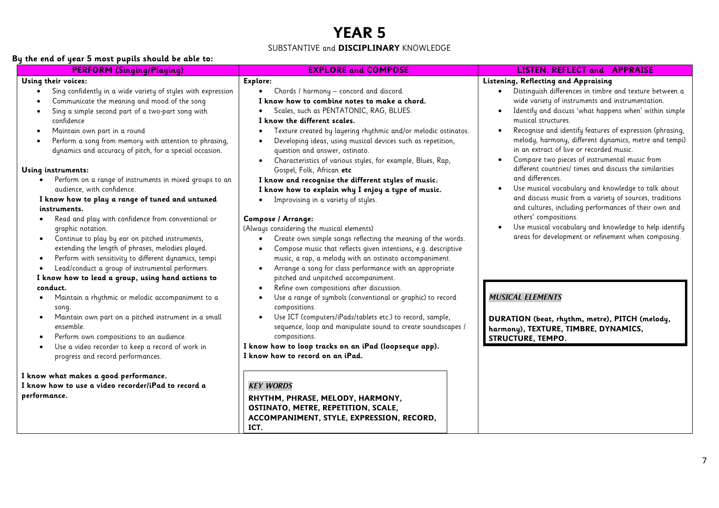#### SUBSTANTIVE and **DISCIPLINARY** KNOWLEDGE

#### **By the end of year 5 most pupils should be able to:**

| <b>PERFORM (Singing/Playing)</b>                                                                                                                                                                                                                                                                                                                                                                                                                                                                                                                                                                                                                                                                                                                                                                                                                                                                                                                                                                                                                                                                                                                                                                                                                                                                                    | <b>EXPLORE and COMPOSE</b>                                                                                                                                                                                                                                                                                                                                                                                                                                                                                                                                                                                                                                                                                                                                                                                                                                                                                                                                                                                                                                                                                                                                                                                                                                                                                                                                                                                                                                                                                                            | <b>LISTEN, REFLECT and APPRAISE</b>                                                                                                                                                                                                                                                                                                                                                                                                                                                                                                                                                                                                                                                                                                                                                                                                                                                                                                                                                                                                              |
|---------------------------------------------------------------------------------------------------------------------------------------------------------------------------------------------------------------------------------------------------------------------------------------------------------------------------------------------------------------------------------------------------------------------------------------------------------------------------------------------------------------------------------------------------------------------------------------------------------------------------------------------------------------------------------------------------------------------------------------------------------------------------------------------------------------------------------------------------------------------------------------------------------------------------------------------------------------------------------------------------------------------------------------------------------------------------------------------------------------------------------------------------------------------------------------------------------------------------------------------------------------------------------------------------------------------|---------------------------------------------------------------------------------------------------------------------------------------------------------------------------------------------------------------------------------------------------------------------------------------------------------------------------------------------------------------------------------------------------------------------------------------------------------------------------------------------------------------------------------------------------------------------------------------------------------------------------------------------------------------------------------------------------------------------------------------------------------------------------------------------------------------------------------------------------------------------------------------------------------------------------------------------------------------------------------------------------------------------------------------------------------------------------------------------------------------------------------------------------------------------------------------------------------------------------------------------------------------------------------------------------------------------------------------------------------------------------------------------------------------------------------------------------------------------------------------------------------------------------------------|--------------------------------------------------------------------------------------------------------------------------------------------------------------------------------------------------------------------------------------------------------------------------------------------------------------------------------------------------------------------------------------------------------------------------------------------------------------------------------------------------------------------------------------------------------------------------------------------------------------------------------------------------------------------------------------------------------------------------------------------------------------------------------------------------------------------------------------------------------------------------------------------------------------------------------------------------------------------------------------------------------------------------------------------------|
| Using their voices:<br>Sing confidently in a wide variety of styles with expression<br>Communicate the meaning and mood of the song<br>Sing a simple second part of a two-part song with<br>confidence<br>Maintain own part in a round<br>Perform a song from memory with attention to phrasing,<br>dynamics and accuracy of pitch, for a special occasion.<br>Using instruments:<br>Perform on a range of instruments in mixed groups to an<br>audience, with confidence.<br>I know how to play a range of tuned and untuned<br>instruments.<br>Read and play with confidence from conventional or<br>graphic notation.<br>Continue to play by ear on pitched instruments,<br>$\bullet$<br>extending the length of phrases, melodies played.<br>Perform with sensitivity to different dynamics, tempi<br>Lead/conduct a group of instrumental performers.<br>I know how to lead a group, using hand actions to<br>conduct.<br>Maintain a rhythmic or melodic accompaniment to a<br>song.<br>Maintain own part on a pitched instrument in a small<br>ensemble.<br>Perform own compositions to an audience.<br>Use a video recorder to keep a record of work in<br>progress and record performances.<br>I know what makes a good performance.<br>I know how to use a video recorder/iPad to record a<br>performance. | Explore:<br>Chords / harmony - concord and discord.<br>I know how to combine notes to make a chord.<br>Scales, such as PENTATONIC, RAG, BLUES.<br>I know the different scales.<br>Texture created by layering rhythmic and/or melodic ostinatos.<br>Developing ideas, using musical devices such as repetition,<br>question and answer, ostinato.<br>Characteristics of various styles, for example, Blues, Rap,<br>$\bullet$<br>Gospel, Folk, African etc<br>I know and recognise the different styles of music.<br>I know how to explain why I enjoy a type of music.<br>Improvising in a variety of styles.<br>Compose / Arrange:<br>(Always considering the musical elements)<br>Create own simple songs reflecting the meaning of the words.<br>Compose music that reflects given intentions, e.g. descriptive<br>music, a rap, a melody with an ostinato accompaniment.<br>Arrange a song for class performance with an appropriate<br>$\bullet$<br>pitched and unpitched accompaniment.<br>Refine own compositions after discussion.<br>$\bullet$<br>Use a range of symbols (conventional or graphic) to record<br>compositions.<br>Use ICT (computers/iPads/tablets etc.) to record, sample,<br>sequence, loop and manipulate sound to create soundscapes /<br>compositions.<br>I know how to loop tracks on an iPad (loopseque app).<br>I know how to record on an iPad.<br><b>KEY WORDS</b><br>RHYTHM, PHRASE, MELODY, HARMONY,<br>OSTINATO, METRE, REPETITION, SCALE,<br>ACCOMPANIMENT, STYLE, EXPRESSION, RECORD,<br>ICT. | Listening, Reflecting and Appraising<br>Distinquish differences in timbre and texture between a<br>$\bullet$<br>wide variety of instruments and instrumentation.<br>Identify and discuss 'what happens when' within simple<br>$\bullet$<br>musical structures.<br>Recognise and identify features of expression (phrasing,<br>$\bullet$<br>melody, harmony, different dynamics, metre and tempi)<br>in an extract of live or recorded music.<br>Compare two pieces of instrumental music from<br>different countries/ times and discuss the similarities<br>and differences.<br>Use musical vocabulary and knowledge to talk about<br>and discuss music from a variety of sources, traditions<br>and cultures, including performances of their own and<br>others' compositions.<br>Use musical vocabulary and knowledge to help identify<br>areas for development or refinement when composing.<br><b>MUSICAL ELEMENTS</b><br>DURATION (beat, rhythm, metre), PITCH (melody,<br>harmony), TEXTURE, TIMBRE, DYNAMICS,<br><b>STRUCTURE, TEMPO.</b> |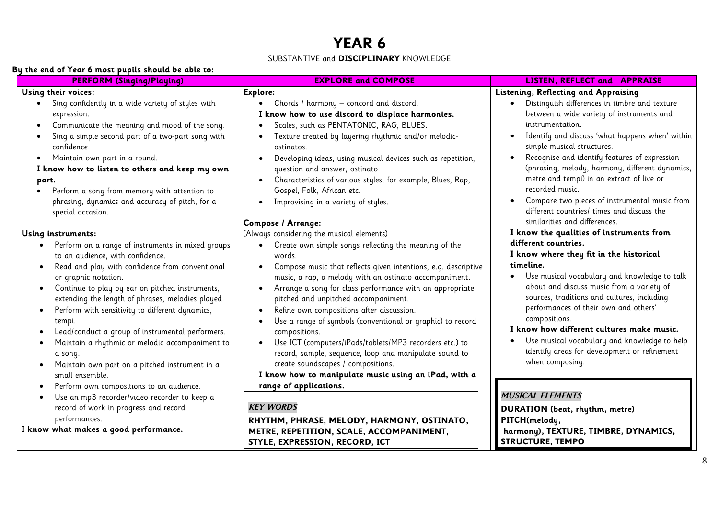#### SUBSTANTIVE and **DISCIPLINARY** KNOWLEDGE

#### **By the end of Year 6 most pupils should be able to:**

| r - p - - - - - - - - - - -<br><b>PERFORM (Singing/Playing)</b>                                                                                                                                                                                                                                                                                                                                                                                                                                                                                                                           | <b>EXPLORE and COMPOSE</b>                                                                                                                                                                                                                                                                                                                                                                                                                                                                                                                                                                                                                                                                                                            | LISTEN, REFLECT and APPRAISE                                                                                                                                                                                                                                                                                                                                                                                                                                                                                                    |
|-------------------------------------------------------------------------------------------------------------------------------------------------------------------------------------------------------------------------------------------------------------------------------------------------------------------------------------------------------------------------------------------------------------------------------------------------------------------------------------------------------------------------------------------------------------------------------------------|---------------------------------------------------------------------------------------------------------------------------------------------------------------------------------------------------------------------------------------------------------------------------------------------------------------------------------------------------------------------------------------------------------------------------------------------------------------------------------------------------------------------------------------------------------------------------------------------------------------------------------------------------------------------------------------------------------------------------------------|---------------------------------------------------------------------------------------------------------------------------------------------------------------------------------------------------------------------------------------------------------------------------------------------------------------------------------------------------------------------------------------------------------------------------------------------------------------------------------------------------------------------------------|
| Using their voices:                                                                                                                                                                                                                                                                                                                                                                                                                                                                                                                                                                       | Explore:                                                                                                                                                                                                                                                                                                                                                                                                                                                                                                                                                                                                                                                                                                                              | Listening, Reflecting and Appraising                                                                                                                                                                                                                                                                                                                                                                                                                                                                                            |
| Sing confidently in a wide variety of styles with<br>expression.<br>Communicate the meaning and mood of the song.<br>$\bullet$<br>Sing a simple second part of a two-part song with<br>confidence.<br>Maintain own part in a round.<br>I know how to listen to others and keep my own<br>part.<br>Perform a song from memory with attention to<br>phrasing, dynamics and accuracy of pitch, for a<br>special occasion.                                                                                                                                                                    | Chords / harmony - concord and discord.<br>I know how to use discord to displace harmonies.<br>Scales, such as PENTATONIC, RAG, BLUES.<br>Texture created by layering rhythmic and/or melodic-<br>ostinatos.<br>Developing ideas, using musical devices such as repetition,<br>question and answer, ostinato.<br>Characteristics of various styles, for example, Blues, Rap,<br>Gospel, Folk, African etc.<br>Improvising in a variety of styles.<br>$\bullet$                                                                                                                                                                                                                                                                        | Distinguish differences in timbre and texture<br>$\bullet$<br>between a wide variety of instruments and<br>instrumentation.<br>Identify and discuss 'what happens when' within<br>$\bullet$<br>simple musical structures.<br>Recognise and identify features of expression<br>(phrasing, melody, harmony, different dynamics,<br>metre and tempi) in an extract of live or<br>recorded music.<br>Compare two pieces of instrumental music from<br>different countries/ times and discuss the                                    |
| Using instruments:<br>Perform on a range of instruments in mixed groups<br>$\bullet$<br>to an audience, with confidence.<br>Read and play with confidence from conventional<br>or graphic notation.<br>Continue to play by ear on pitched instruments,<br>$\bullet$<br>extending the length of phrases, melodies played.<br>Perform with sensitivity to different dynamics,<br>tempi.<br>Lead/conduct a group of instrumental performers.<br>Maintain a rhythmic or melodic accompaniment to<br>a song.<br>Maintain own part on a pitched instrument in a<br>$\bullet$<br>small ensemble. | <b>Compose / Arrange:</b><br>(Always considering the musical elements)<br>Create own simple songs reflecting the meaning of the<br>words.<br>Compose music that reflects given intentions, e.g. descriptive<br>music, a rap, a melody with an ostinato accompaniment.<br>Arrange a song for class performance with an appropriate<br>pitched and unpitched accompaniment.<br>Refine own compositions after discussion.<br>Use a range of symbols (conventional or graphic) to record<br>compositions.<br>Use ICT (computers/iPads/tablets/MP3 recorders etc.) to<br>$\bullet$<br>record, sample, sequence, loop and manipulate sound to<br>create soundscapes / compositions.<br>I know how to manipulate music using an iPad, with a | similarities and differences.<br>I know the qualities of instruments from<br>different countries.<br>I know where they fit in the historical<br>timeline.<br>Use musical vocabulary and knowledge to talk<br>about and discuss music from a variety of<br>sources, traditions and cultures, including<br>performances of their own and others'<br>compositions.<br>I know how different cultures make music.<br>Use musical vocabulary and knowledge to help<br>identify areas for development or refinement<br>when composing. |
| Perform own compositions to an audience.<br>Use an mp3 recorder/video recorder to keep a<br>$\bullet$<br>record of work in progress and record<br>performances.<br>I know what makes a good performance.                                                                                                                                                                                                                                                                                                                                                                                  | range of applications.<br><b>KEY WORDS</b><br>RHYTHM, PHRASE, MELODY, HARMONY, OSTINATO,<br>METRE, REPETITION, SCALE, ACCOMPANIMENT,<br>STYLE, EXPRESSION, RECORD, ICT                                                                                                                                                                                                                                                                                                                                                                                                                                                                                                                                                                | <b>MUSICAL ELEMENTS</b><br>DURATION (beat, rhythm, metre)<br>PITCH(melody,<br>harmony), TEXTURE, TIMBRE, DYNAMICS,<br><b>STRUCTURE, TEMPO</b>                                                                                                                                                                                                                                                                                                                                                                                   |